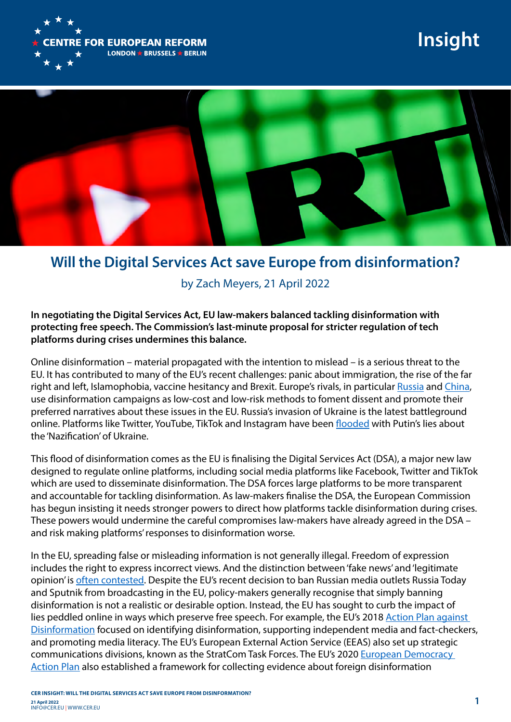

## **Insight**



## **Will the Digital Services Act save Europe from disinformation?**

by Zach Meyers, 21 April 2022

**In negotiating the Digital Services Act, EU law-makers balanced tackling disinformation with protecting free speech. The Commission's last-minute proposal for stricter regulation of tech platforms during crises undermines this balance.**

Online disinformation – material propagated with the intention to mislead – is a serious threat to the EU. It has contributed to many of the EU's recent challenges: panic about immigration, the rise of the far right and left, Islamophobia, vaccine hesitancy and Brexit. Europe's rivals, in particular [Russia](https://www.rferl.org/a/russian-troll-factory-hacking/31076160.html) and [China](https://www.bbc.co.uk/news/56364952), use disinformation campaigns as low-cost and low-risk methods to foment dissent and promote their preferred narratives about these issues in the EU. Russia's invasion of Ukraine is the latest battleground online. Platforms like Twitter, YouTube, TikTok and Instagram have been [flooded](https://www.euronews.com/my-europe/2022/04/13/ukraine-war-europe-s-army-of-elves-fights-real-world-russian-disinformation) with Putin's lies about the 'Nazification' of Ukraine.

This flood of disinformation comes as the EU is finalising the Digital Services Act (DSA), a major new law designed to regulate online platforms, including social media platforms like Facebook, Twitter and TikTok which are used to disseminate disinformation. The DSA forces large platforms to be more transparent and accountable for tackling disinformation. As law-makers finalise the DSA, the European Commission has begun insisting it needs stronger powers to direct how platforms tackle disinformation during crises. These powers would undermine the careful compromises law-makers have already agreed in the DSA – and risk making platforms' responses to disinformation worse.

In the EU, spreading false or misleading information is not generally illegal. Freedom of expression includes the right to express incorrect views. And the distinction between 'fake news' and 'legitimate opinion' is [often](https://www.telegraph.co.uk/news/2022/02/09/early-lab-grown-covid-virus-found-sample-lends-weight-wuhan/) contested. Despite the EU's recent decision to ban Russian media outlets Russia Today and Sputnik from broadcasting in the EU, policy-makers generally recognise that simply banning disinformation is not a realistic or desirable option. Instead, the EU has sought to curb the impact of lies peddled online in ways which preserve free speech. For example, the EU's 2018 [Action Plan against](https://ec.europa.eu/info/publications/action-plan-disinformation-commission-contribution-european-council-13-14-december-2018_en)  [Disinformation](https://ec.europa.eu/info/publications/action-plan-disinformation-commission-contribution-european-council-13-14-december-2018_en) focused on identifying disinformation, supporting independent media and fact-checkers, and promoting media literacy. The EU's European External Action Service (EEAS) also set up strategic communications divisions, known as the StratCom Task Forces. The EU's 2020 [European Democracy](https://ec.europa.eu/commission/presscorner/detail/en/ip_20_2250)  [Action Plan](https://ec.europa.eu/commission/presscorner/detail/en/ip_20_2250) also established a framework for collecting evidence about foreign disinformation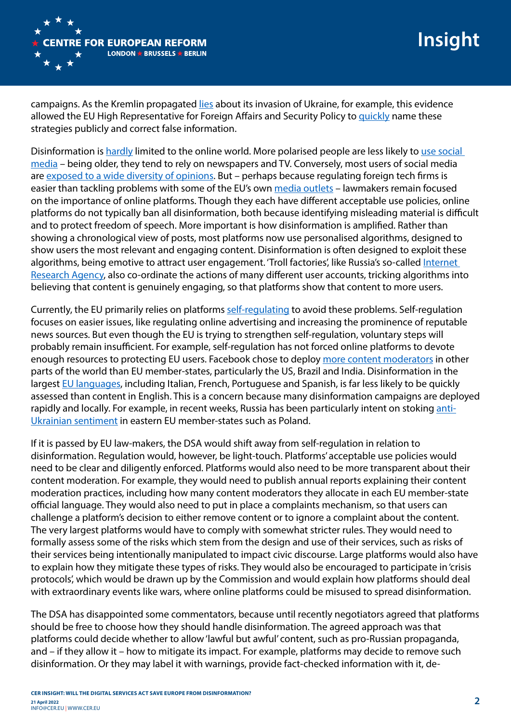

campaigns. As the Kremlin propagated [lies](https://medium.com/dfrlab/how-ten-false-flag-narratives-were-promoted-by-pro-kremlin-media-c67e786c6085) about its invasion of Ukraine, for example, this evidence allowed the EU High Representative for Foreign Affairs and Security Policy to [quickly](https://www.politico.eu/article/nato-has-seen-attempts-at-russian-false-flag-operation-ukraine-says-alliance-chief/) name these strategies publicly and correct false information.

Disinformation is [hardly](https://notesfrompoland.com/2021/11/12/turning-propaganda-into-public-service-broadcasting-in-poland/) limited to the online world. More polarised people are less likely to use social [media](https://www.nber.org/papers/w23258) – being older, they tend to rely on newspapers and TV. Conversely, most users of social media are [exposed to a wide diversity of opinions.](https://www.ox.ac.uk/news/2018-02-21-social-media-and-internet-not-cause-political-polarisation) But – perhaps because regulating foreign tech firms is easier than tackling problems with some of the EU's own [media outlets](https://www.europeanpressprize.com/article/propaganda-war-europe-far-right-media/) – lawmakers remain focused on the importance of online platforms. Though they each have different acceptable use policies, online platforms do not typically ban all disinformation, both because identifying misleading material is difficult and to protect freedom of speech. More important is how disinformation is amplified. Rather than showing a chronological view of posts, most platforms now use personalised algorithms, designed to show users the most relevant and engaging content. Disinformation is often designed to exploit these algorithms, being emotive to attract user engagement. 'Troll factories', like Russia's so-called Internet [Research Agency,](https://www.nytimes.com/2018/02/18/world/europe/russia-troll-factory.html) also co-ordinate the actions of many different user accounts, tricking algorithms into believing that content is genuinely engaging, so that platforms show that content to more users.

Currently, the EU primarily relies on platforms [self-regulating](https://digital-strategy.ec.europa.eu/en/policies/code-practice-disinformation) to avoid these problems. Self-regulation focuses on easier issues, like regulating online advertising and increasing the prominence of reputable news sources. But even though the EU is trying to strengthen self-regulation, voluntary steps will probably remain insufficient. For example, self-regulation has not forced online platforms to devote enough resources to protecting EU users. Facebook chose to deploy [more content moderators](https://www.theverge.com/22743753/facebook-tier-list-countries-leaked-documents-content-moderation) in other parts of the world than EU member-states, particularly the US, Brazil and India. Disinformation in the largest [EU languages](https://secure.avaaz.org/campaign/en/facebook_neglect_europe_infodemic/), including Italian, French, Portuguese and Spanish, is far less likely to be quickly assessed than content in English. This is a concern because many disinformation campaigns are deployed rapidly and locally. For example, in recent weeks, Russia has been particularly intent on stoking [anti-](https://theconversation.com/how-russia-is-trying-to-stoke-anti-ukrainian-sentiment-in-eastern-eu-countries-178816)[Ukrainian sentiment](https://theconversation.com/how-russia-is-trying-to-stoke-anti-ukrainian-sentiment-in-eastern-eu-countries-178816) in eastern EU member-states such as Poland.

If it is passed by EU law-makers, the DSA would shift away from self-regulation in relation to disinformation. Regulation would, however, be light-touch. Platforms' acceptable use policies would need to be clear and diligently enforced. Platforms would also need to be more transparent about their content moderation. For example, they would need to publish annual reports explaining their content moderation practices, including how many content moderators they allocate in each EU member-state official language. They would also need to put in place a complaints mechanism, so that users can challenge a platform's decision to either remove content or to ignore a complaint about the content. The very largest platforms would have to comply with somewhat stricter rules. They would need to formally assess some of the risks which stem from the design and use of their services, such as risks of their services being intentionally manipulated to impact civic discourse. Large platforms would also have to explain how they mitigate these types of risks. They would also be encouraged to participate in 'crisis protocols', which would be drawn up by the Commission and would explain how platforms should deal with extraordinary events like wars, where online platforms could be misused to spread disinformation.

The DSA has disappointed some commentators, because until recently negotiators agreed that platforms should be free to choose how they should handle disinformation. The agreed approach was that platforms could decide whether to allow 'lawful but awful' content, such as pro-Russian propaganda, and – if they allow it – how to mitigate its impact. For example, platforms may decide to remove such disinformation. Or they may label it with warnings, provide fact-checked information with it, de-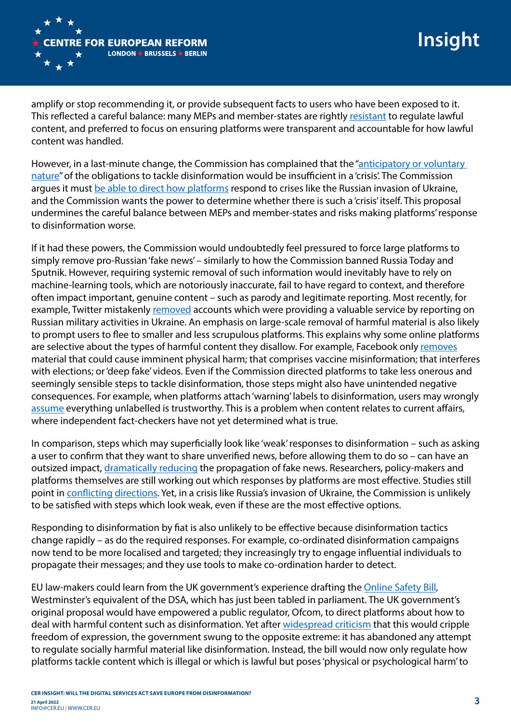

amplify or stop recommending it, or provide subsequent facts to users who have been exposed to it. This reflected a careful balance: many MEPs and member-states are rightly [resistant](https://www.ft.com/content/5e41d0cf-a83c-4817-997e-a353858137ab) to regulate lawful content, and preferred to focus on ensuring platforms were transparent and accountable for how lawful content was handled.

However, in a last-minute change, the Commission has complained that the "anticipatory or voluntary [nature](https://www.euractiv.com/section/digital/news/dsa-european-commissions-pitches-crisis-management-mechanism-supervisory-fees/)" of the obligations to tackle disinformation would be insufficient in a 'crisis'. The Commission argues it must [be able to direct how platforms](https://www.accessnow.org/crisis-response-mechanism-dsa/) respond to crises like the Russian invasion of Ukraine, and the Commission wants the power to determine whether there is such a 'crisis' itself. This proposal undermines the careful balance between MEPs and member-states and risks making platforms' response to disinformation worse.

If it had these powers, the Commission would undoubtedly feel pressured to force large platforms to simply remove pro-Russian 'fake news' – similarly to how the Commission banned Russia Today and Sputnik. However, requiring systemic removal of such information would inevitably have to rely on machine-learning tools, which are notoriously inaccurate, fail to have regard to context, and therefore often impact important, genuine content – such as parody and legitimate reporting. Most recently, for example, Twitter mistakenly [removed](https://www.protocol.com/bulletins/twitter-russia-ukraine) accounts which were providing a valuable service by reporting on Russian military activities in Ukraine. An emphasis on large-scale removal of harmful material is also likely to prompt users to flee to smaller and less scrupulous platforms. This explains why some online platforms are selective about the types of harmful content they disallow. For example, Facebook only [removes](https://transparency.fb.com/en-gb/features/approach-to-misinformation/) material that could cause imminent physical harm; that comprises vaccine misinformation; that interferes with elections; or 'deep fake' videos. Even if the Commission directed platforms to take less onerous and seemingly sensible steps to tackle disinformation, those steps might also have unintended negative consequences. For example, when platforms attach 'warning' labels to disinformation, users may wrongly [assume](https://papers.ssrn.com/sol3/papers.cfm?abstract_id=3035384) everything unlabelled is trustworthy. This is a problem when content relates to current affairs, where independent fact-checkers have not yet determined what is true.

In comparison, steps which may superficially look like 'weak' responses to disinformation – such as asking a user to confirm that they want to share unverified news, before allowing them to do so – can have an outsized impact, [dramatically reducing](https://voxeu.org/article/fact-checking-reduces-propagation-false-news) the propagation of fake news. Researchers, policy-makers and platforms themselves are still working out which responses by platforms are most effective. Studies still point in [conflicting](https://www.facebook.com/notes/751449002072082/) [directions](https://www.ox.ac.uk/news/2018-02-21-social-media-and-internet-not-cause-political-polarisation). Yet, in a crisis like Russia's invasion of Ukraine, the Commission is unlikely to be satisfied with steps which look weak, even if these are the most effective options.

Responding to disinformation by fiat is also unlikely to be effective because disinformation tactics change rapidly – as do the required responses. For example, co-ordinated disinformation campaigns now tend to be more localised and targeted; they increasingly try to engage influential individuals to propagate their messages; and they use tools to make co-ordination harder to detect.

EU law-makers could learn from the UK government's experience drafting the [Online Safety Bill](https://assets.publishing.service.gov.uk/government/uploads/system/uploads/attachment_data/file/985033/Draft_Online_Safety_Bill_Bookmarked.pdf), Westminster's equivalent of the DSA, which has just been tabled in parliament. The UK government's original proposal would have empowered a public regulator, Ofcom, to direct platforms about how to deal with harmful content such as disinformation. Yet after [widespread criticism](https://news.sky.com/story/online-safety-bill-has-the-government-botched-its-attempt-to-stop-the-spread-of-hateful-content-online-12568823) that this would cripple freedom of expression, the government swung to the opposite extreme: it has abandoned any attempt to regulate socially harmful material like disinformation. Instead, the bill would now only regulate how platforms tackle content which is illegal or which is lawful but poses 'physical or psychological harm' to